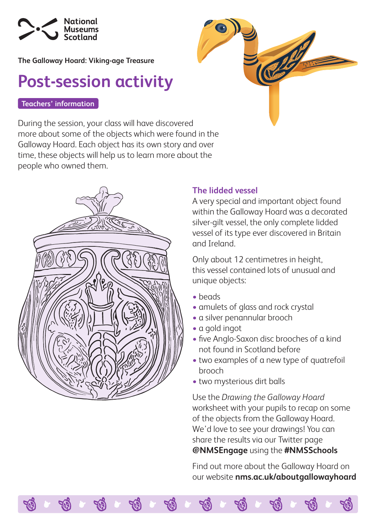

**The Galloway Hoard: Viking-age Treasure**

## **Post-session activity**

## **Teachers' information**

During the session, your class will have discovered more about some of the objects which were found in the Galloway Hoard. Each object has its own story and over time, these objects will help us to learn more about the people who owned them.



## **The lidded vessel**

A very special and important object found within the Galloway Hoard was a decorated silver-gilt vessel, the only complete lidded vessel of its type ever discovered in Britain and Ireland.

Only about 12 centimetres in height, this vessel contained lots of unusual and unique objects:

- beads
- amulets of glass and rock crystal
- a silver penannular brooch
- a gold ingot
- five Anglo-Saxon disc brooches of a kind not found in Scotland before
- two examples of a new type of quatrefoil brooch
- two mysterious dirt balls

Use the *Drawing the Galloway Hoard* worksheet with your pupils to recap on some of the objects from the Galloway Hoard. We'd love to see your drawings! You can share the results via our Twitter page **@NMSEngage** using the **#NMSSchools**

Find out more about the Galloway Hoard on our website **[nms.ac.uk/aboutgallowayhoard](https://www.nms.ac.uk/aboutgallowayhoard)**